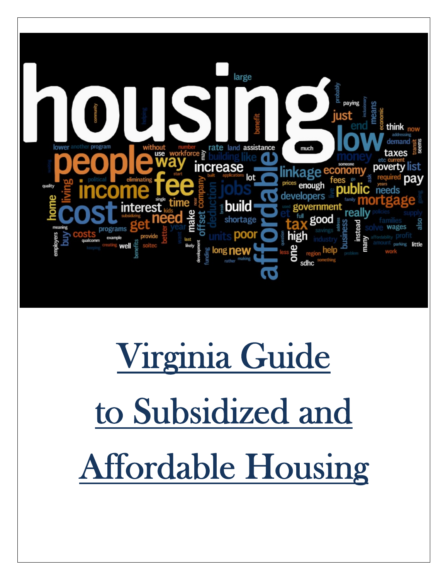

# Virginia Guide to Subsidized and Affordable Housing

 $\overline{\phantom{a}}$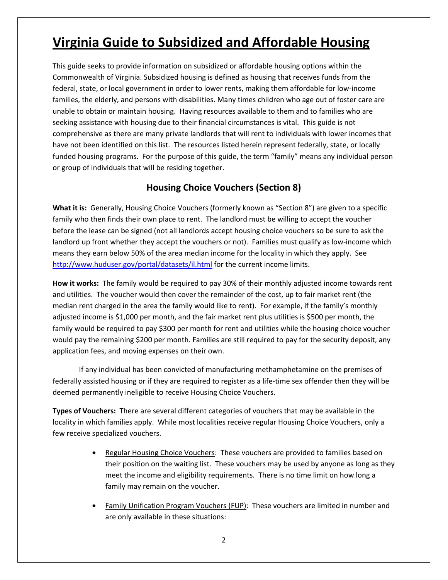# **Virginia Guide to Subsidized and Affordable Housing**

This guide seeks to provide information on subsidized or affordable housing options within the Commonwealth of Virginia. Subsidized housing is defined as housing that receives funds from the federal, state, or local government in order to lower rents, making them affordable for low‐income families, the elderly, and persons with disabilities. Many times children who age out of foster care are unable to obtain or maintain housing. Having resources available to them and to families who are seeking assistance with housing due to their financial circumstances is vital. This guide is not comprehensive as there are many private landlords that will rent to individuals with lower incomes that have not been identified on this list. The resources listed herein represent federally, state, or locally funded housing programs. For the purpose of this guide, the term "family" means any individual person or group of individuals that will be residing together.

## **Housing Choice Vouchers (Section 8)**

**What it is:** Generally, Housing Choice Vouchers (formerly known as "Section 8") are given to a specific family who then finds their own place to rent. The landlord must be willing to accept the voucher before the lease can be signed (not all landlords accept housing choice vouchers so be sure to ask the landlord up front whether they accept the vouchers or not). Families must qualify as low-income which means they earn below 50% of the area median income for the locality in which they apply. See http://www.huduser.gov/portal/datasets/il.html for the current income limits.

**How it works:** The family would be required to pay 30% of their monthly adjusted income towards rent and utilities. The voucher would then cover the remainder of the cost, up to fair market rent (the median rent charged in the area the family would like to rent). For example, if the family's monthly adjusted income is \$1,000 per month, and the fair market rent plus utilities is \$500 per month, the family would be required to pay \$300 per month for rent and utilities while the housing choice voucher would pay the remaining \$200 per month. Families are still required to pay for the security deposit, any application fees, and moving expenses on their own.

If any individual has been convicted of manufacturing methamphetamine on the premises of federally assisted housing or if they are required to register as a life-time sex offender then they will be deemed permanently ineligible to receive Housing Choice Vouchers.

**Types of Vouchers:** There are several different categories of vouchers that may be available in the locality in which families apply. While most localities receive regular Housing Choice Vouchers, only a few receive specialized vouchers.

- Regular Housing Choice Vouchers: These vouchers are provided to families based on their position on the waiting list. These vouchers may be used by anyone as long as they meet the income and eligibility requirements. There is no time limit on how long a family may remain on the voucher.
- Family Unification Program Vouchers (FUP): These vouchers are limited in number and are only available in these situations: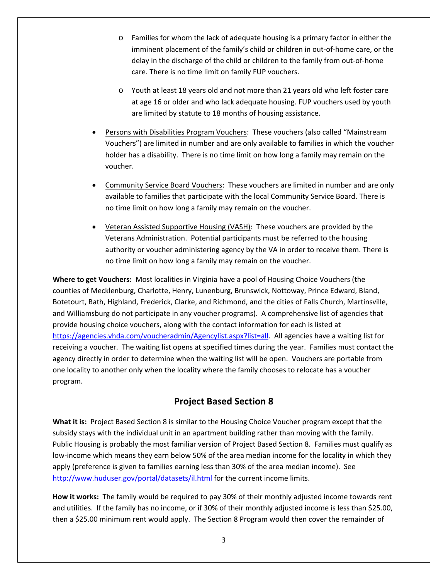- o Families for whom the lack of adequate housing is a primary factor in either the imminent placement of the family's child or children in out-of-home care, or the delay in the discharge of the child or children to the family from out‐of‐home care. There is no time limit on family FUP vouchers.
- o Youth at least 18 years old and not more than 21 years old who left foster care at age 16 or older and who lack adequate housing. FUP vouchers used by youth are limited by statute to 18 months of housing assistance.
- Persons with Disabilities Program Vouchers: These vouchers (also called "Mainstream Vouchers") are limited in number and are only available to families in which the voucher holder has a disability. There is no time limit on how long a family may remain on the voucher.
- Community Service Board Vouchers: These vouchers are limited in number and are only available to families that participate with the local Community Service Board. There is no time limit on how long a family may remain on the voucher.
- Veteran Assisted Supportive Housing (VASH): These vouchers are provided by the Veterans Administration. Potential participants must be referred to the housing authority or voucher administering agency by the VA in order to receive them. There is no time limit on how long a family may remain on the voucher.

**Where to get Vouchers:** Most localities in Virginia have a pool of Housing Choice Vouchers (the counties of Mecklenburg, Charlotte, Henry, Lunenburg, Brunswick, Nottoway, Prince Edward, Bland, Botetourt, Bath, Highland, Frederick, Clarke, and Richmond, and the cities of Falls Church, Martinsville, and Williamsburg do not participate in any voucher programs). A comprehensive list of agencies that provide housing choice vouchers, along with the contact information for each is listed at https://agencies.vhda.com/voucheradmin/Agencylist.aspx?list=all. All agencies have a waiting list for receiving a voucher. The waiting list opens at specified times during the year. Families must contact the agency directly in order to determine when the waiting list will be open. Vouchers are portable from one locality to another only when the locality where the family chooses to relocate has a voucher program.

### **Project Based Section 8**

**What it is:** Project Based Section 8 is similar to the Housing Choice Voucher program except that the subsidy stays with the individual unit in an apartment building rather than moving with the family. Public Housing is probably the most familiar version of Project Based Section 8. Families must qualify as low-income which means they earn below 50% of the area median income for the locality in which they apply (preference is given to families earning less than 30% of the area median income). See http://www.huduser.gov/portal/datasets/il.html for the current income limits.

**How it works:** The family would be required to pay 30% of their monthly adjusted income towards rent and utilities. If the family has no income, or if 30% of their monthly adjusted income is less than \$25.00, then a \$25.00 minimum rent would apply. The Section 8 Program would then cover the remainder of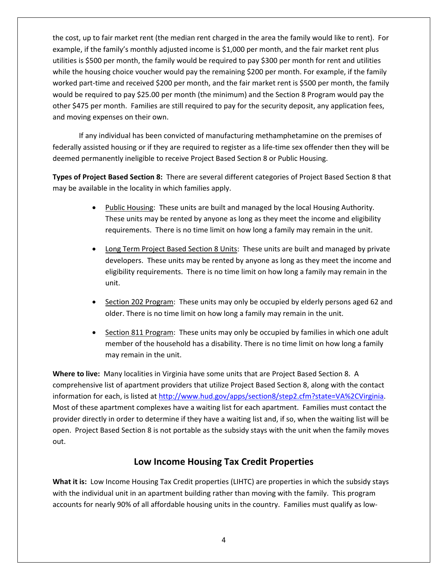the cost, up to fair market rent (the median rent charged in the area the family would like to rent). For example, if the family's monthly adjusted income is \$1,000 per month, and the fair market rent plus utilities is \$500 per month, the family would be required to pay \$300 per month for rent and utilities while the housing choice voucher would pay the remaining \$200 per month. For example, if the family worked part-time and received \$200 per month, and the fair market rent is \$500 per month, the family would be required to pay \$25.00 per month (the minimum) and the Section 8 Program would pay the other \$475 per month. Families are still required to pay for the security deposit, any application fees, and moving expenses on their own.

If any individual has been convicted of manufacturing methamphetamine on the premises of federally assisted housing or if they are required to register as a life-time sex offender then they will be deemed permanently ineligible to receive Project Based Section 8 or Public Housing.

**Types of Project Based Section 8:** There are several different categories of Project Based Section 8 that may be available in the locality in which families apply.

- Public Housing: These units are built and managed by the local Housing Authority. These units may be rented by anyone as long as they meet the income and eligibility requirements. There is no time limit on how long a family may remain in the unit.
- Long Term Project Based Section 8 Units: These units are built and managed by private developers. These units may be rented by anyone as long as they meet the income and eligibility requirements. There is no time limit on how long a family may remain in the unit.
- Section 202 Program: These units may only be occupied by elderly persons aged 62 and older. There is no time limit on how long a family may remain in the unit.
- Section 811 Program: These units may only be occupied by families in which one adult member of the household has a disability. There is no time limit on how long a family may remain in the unit.

**Where to live:** Many localities in Virginia have some units that are Project Based Section 8. A comprehensive list of apartment providers that utilize Project Based Section 8, along with the contact information for each, is listed at http://www.hud.gov/apps/section8/step2.cfm?state=VA%2CVirginia. Most of these apartment complexes have a waiting list for each apartment. Families must contact the provider directly in order to determine if they have a waiting list and, if so, when the waiting list will be open. Project Based Section 8 is not portable as the subsidy stays with the unit when the family moves out.

#### **Low Income Housing Tax Credit Properties**

**What it is:** Low Income Housing Tax Credit properties (LIHTC) are properties in which the subsidy stays with the individual unit in an apartment building rather than moving with the family. This program accounts for nearly 90% of all affordable housing units in the country. Families must qualify as low‐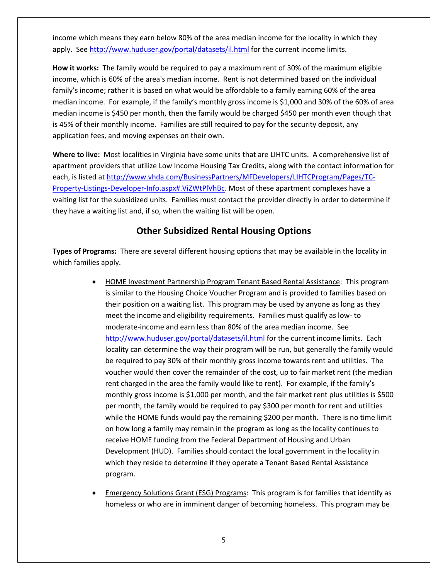income which means they earn below 80% of the area median income for the locality in which they apply. See http://www.huduser.gov/portal/datasets/il.html for the current income limits.

**How it works:** The family would be required to pay a maximum rent of 30% of the maximum eligible income, which is 60% of the area's median income. Rent is not determined based on the individual family's income; rather it is based on what would be affordable to a family earning 60% of the area median income. For example, if the family's monthly gross income is \$1,000 and 30% of the 60% of area median income is \$450 per month, then the family would be charged \$450 per month even though that is 45% of their monthly income. Families are still required to pay for the security deposit, any application fees, and moving expenses on their own.

**Where to live:** Most localities in Virginia have some units that are LIHTC units. A comprehensive list of apartment providers that utilize Low Income Housing Tax Credits, along with the contact information for each, is listed at http://www.vhda.com/BusinessPartners/MFDevelopers/LIHTCProgram/Pages/TC‐ Property‐Listings‐Developer‐Info.aspx#.ViZWtPlVhBc. Most of these apartment complexes have a waiting list for the subsidized units. Families must contact the provider directly in order to determine if they have a waiting list and, if so, when the waiting list will be open.

#### **Other Subsidized Rental Housing Options**

**Types of Programs:** There are several different housing options that may be available in the locality in which families apply.

- HOME Investment Partnership Program Tenant Based Rental Assistance: This program is similar to the Housing Choice Voucher Program and is provided to families based on their position on a waiting list. This program may be used by anyone as long as they meet the income and eligibility requirements. Families must qualify as low- to moderate‐income and earn less than 80% of the area median income. See http://www.huduser.gov/portal/datasets/il.html for the current income limits. Each locality can determine the way their program will be run, but generally the family would be required to pay 30% of their monthly gross income towards rent and utilities. The voucher would then cover the remainder of the cost, up to fair market rent (the median rent charged in the area the family would like to rent). For example, if the family's monthly gross income is \$1,000 per month, and the fair market rent plus utilities is \$500 per month, the family would be required to pay \$300 per month for rent and utilities while the HOME funds would pay the remaining \$200 per month. There is no time limit on how long a family may remain in the program as long as the locality continues to receive HOME funding from the Federal Department of Housing and Urban Development (HUD). Families should contact the local government in the locality in which they reside to determine if they operate a Tenant Based Rental Assistance program.
- Emergency Solutions Grant (ESG) Programs: This program is for families that identify as homeless or who are in imminent danger of becoming homeless. This program may be